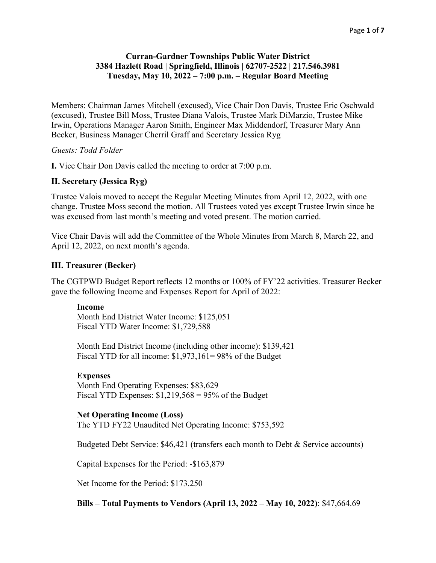# **Curran-Gardner Townships Public Water District 3384 Hazlett Road | Springfield, Illinois | 62707-2522 | 217.546.3981 Tuesday, May 10, 2022 – 7:00 p.m. – Regular Board Meeting**

Members: Chairman James Mitchell (excused), Vice Chair Don Davis, Trustee Eric Oschwald (excused), Trustee Bill Moss, Trustee Diana Valois, Trustee Mark DiMarzio, Trustee Mike Irwin, Operations Manager Aaron Smith, Engineer Max Middendorf, Treasurer Mary Ann Becker, Business Manager Cherril Graff and Secretary Jessica Ryg

## *Guests: Todd Folder*

**I.** Vice Chair Don Davis called the meeting to order at 7:00 p.m.

## **II. Secretary (Jessica Ryg)**

Trustee Valois moved to accept the Regular Meeting Minutes from April 12, 2022, with one change. Trustee Moss second the motion. All Trustees voted yes except Trustee Irwin since he was excused from last month's meeting and voted present. The motion carried.

Vice Chair Davis will add the Committee of the Whole Minutes from March 8, March 22, and April 12, 2022, on next month's agenda.

#### **III. Treasurer (Becker)**

The CGTPWD Budget Report reflects 12 months or 100% of FY'22 activities. Treasurer Becker gave the following Income and Expenses Report for April of 2022:

#### **Income**

Month End District Water Income: \$125,051 Fiscal YTD Water Income: \$1,729,588

Month End District Income (including other income): \$139,421 Fiscal YTD for all income: \$1,973,161= 98% of the Budget

## **Expenses**

Month End Operating Expenses: \$83,629 Fiscal YTD Expenses:  $$1,219,568 = 95\%$  of the Budget

#### **Net Operating Income (Loss)**

The YTD FY22 Unaudited Net Operating Income: \$753,592

Budgeted Debt Service: \$46,421 (transfers each month to Debt & Service accounts)

Capital Expenses for the Period: -\$163,879

Net Income for the Period: \$173.250

**Bills – Total Payments to Vendors (April 13, 2022 – May 10, 2022)**: \$47,664.69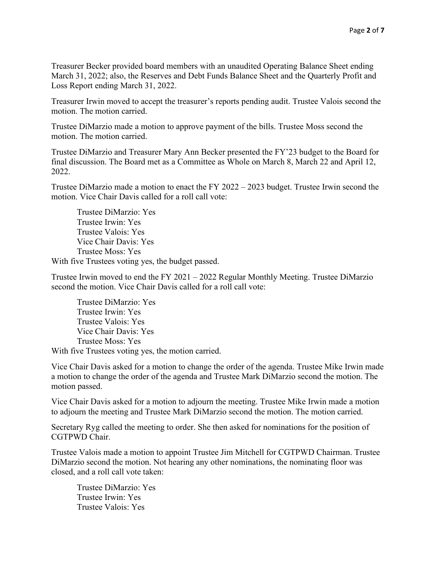Treasurer Becker provided board members with an unaudited Operating Balance Sheet ending March 31, 2022; also, the Reserves and Debt Funds Balance Sheet and the Quarterly Profit and Loss Report ending March 31, 2022.

Treasurer Irwin moved to accept the treasurer's reports pending audit. Trustee Valois second the motion. The motion carried.

Trustee DiMarzio made a motion to approve payment of the bills. Trustee Moss second the motion. The motion carried.

Trustee DiMarzio and Treasurer Mary Ann Becker presented the FY'23 budget to the Board for final discussion. The Board met as a Committee as Whole on March 8, March 22 and April 12, 2022.

Trustee DiMarzio made a motion to enact the FY 2022 – 2023 budget. Trustee Irwin second the motion. Vice Chair Davis called for a roll call vote:

Trustee DiMarzio: Yes Trustee Irwin: Yes Trustee Valois: Yes Vice Chair Davis: Yes Trustee Moss: Yes With five Trustees voting yes, the budget passed.

Trustee Irwin moved to end the FY 2021 – 2022 Regular Monthly Meeting. Trustee DiMarzio second the motion. Vice Chair Davis called for a roll call vote:

Trustee DiMarzio: Yes Trustee Irwin: Yes Trustee Valois: Yes Vice Chair Davis: Yes Trustee Moss: Yes

With five Trustees voting yes, the motion carried.

Vice Chair Davis asked for a motion to change the order of the agenda. Trustee Mike Irwin made a motion to change the order of the agenda and Trustee Mark DiMarzio second the motion. The motion passed.

Vice Chair Davis asked for a motion to adjourn the meeting. Trustee Mike Irwin made a motion to adjourn the meeting and Trustee Mark DiMarzio second the motion. The motion carried.

Secretary Ryg called the meeting to order. She then asked for nominations for the position of CGTPWD Chair.

Trustee Valois made a motion to appoint Trustee Jim Mitchell for CGTPWD Chairman. Trustee DiMarzio second the motion. Not hearing any other nominations, the nominating floor was closed, and a roll call vote taken:

Trustee DiMarzio: Yes Trustee Irwin: Yes Trustee Valois: Yes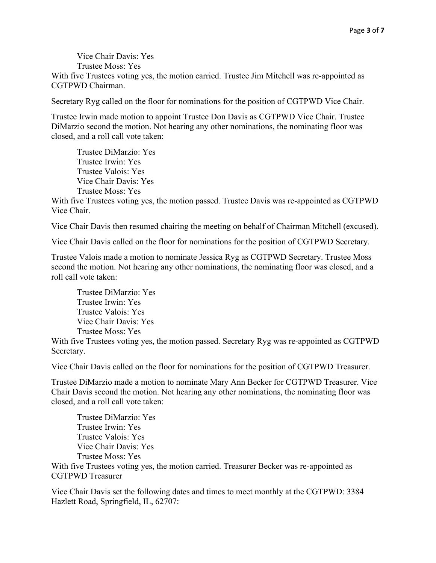Vice Chair Davis: Yes Trustee Moss: Yes

With five Trustees voting yes, the motion carried. Trustee Jim Mitchell was re-appointed as CGTPWD Chairman.

Secretary Ryg called on the floor for nominations for the position of CGTPWD Vice Chair.

Trustee Irwin made motion to appoint Trustee Don Davis as CGTPWD Vice Chair. Trustee DiMarzio second the motion. Not hearing any other nominations, the nominating floor was closed, and a roll call vote taken:

Trustee DiMarzio: Yes Trustee Irwin: Yes Trustee Valois: Yes Vice Chair Davis: Yes Trustee Moss: Yes

With five Trustees voting yes, the motion passed. Trustee Davis was re-appointed as CGTPWD Vice Chair.

Vice Chair Davis then resumed chairing the meeting on behalf of Chairman Mitchell (excused).

Vice Chair Davis called on the floor for nominations for the position of CGTPWD Secretary.

Trustee Valois made a motion to nominate Jessica Ryg as CGTPWD Secretary. Trustee Moss second the motion. Not hearing any other nominations, the nominating floor was closed, and a roll call vote taken:

Trustee DiMarzio: Yes Trustee Irwin: Yes Trustee Valois: Yes Vice Chair Davis: Yes Trustee Moss: Yes

With five Trustees voting yes, the motion passed. Secretary Ryg was re-appointed as CGTPWD Secretary.

Vice Chair Davis called on the floor for nominations for the position of CGTPWD Treasurer.

Trustee DiMarzio made a motion to nominate Mary Ann Becker for CGTPWD Treasurer. Vice Chair Davis second the motion. Not hearing any other nominations, the nominating floor was closed, and a roll call vote taken:

Trustee DiMarzio: Yes Trustee Irwin: Yes Trustee Valois: Yes Vice Chair Davis: Yes Trustee Moss: Yes

With five Trustees voting yes, the motion carried. Treasurer Becker was re-appointed as CGTPWD Treasurer

Vice Chair Davis set the following dates and times to meet monthly at the CGTPWD: 3384 Hazlett Road, Springfield, IL, 62707: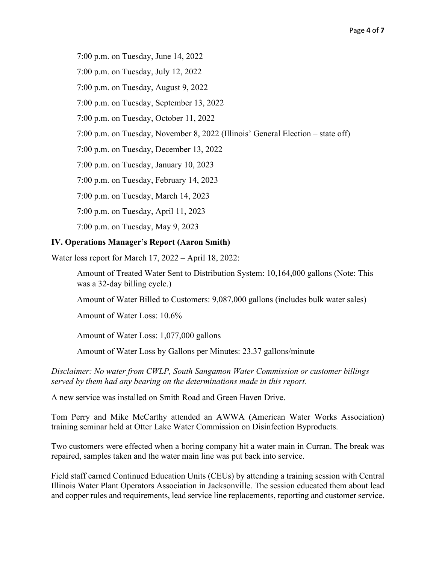7:00 p.m. on Tuesday, June 14, 2022

7:00 p.m. on Tuesday, July 12, 2022

7:00 p.m. on Tuesday, August 9, 2022

7:00 p.m. on Tuesday, September 13, 2022

7:00 p.m. on Tuesday, October 11, 2022

7:00 p.m. on Tuesday, November 8, 2022 (Illinois' General Election – state off)

7:00 p.m. on Tuesday, December 13, 2022

7:00 p.m. on Tuesday, January 10, 2023

7:00 p.m. on Tuesday, February 14, 2023

7:00 p.m. on Tuesday, March 14, 2023

7:00 p.m. on Tuesday, April 11, 2023

7:00 p.m. on Tuesday, May 9, 2023

#### **IV. Operations Manager's Report (Aaron Smith)**

Water loss report for March 17, 2022 – April 18, 2022:

Amount of Treated Water Sent to Distribution System: 10,164,000 gallons (Note: This was a 32-day billing cycle.)

Amount of Water Billed to Customers: 9,087,000 gallons (includes bulk water sales)

Amount of Water Loss: 10.6%

Amount of Water Loss: 1,077,000 gallons

Amount of Water Loss by Gallons per Minutes: 23.37 gallons/minute

*Disclaimer: No water from CWLP, South Sangamon Water Commission or customer billings served by them had any bearing on the determinations made in this report.*

A new service was installed on Smith Road and Green Haven Drive.

Tom Perry and Mike McCarthy attended an AWWA (American Water Works Association) training seminar held at Otter Lake Water Commission on Disinfection Byproducts.

Two customers were effected when a boring company hit a water main in Curran. The break was repaired, samples taken and the water main line was put back into service.

Field staff earned Continued Education Units (CEUs) by attending a training session with Central Illinois Water Plant Operators Association in Jacksonville. The session educated them about lead and copper rules and requirements, lead service line replacements, reporting and customer service.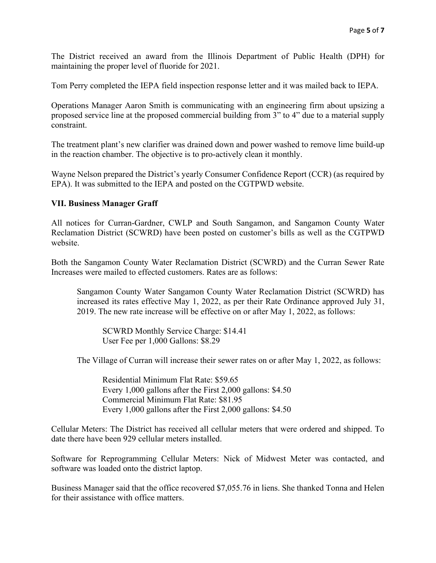The District received an award from the Illinois Department of Public Health (DPH) for maintaining the proper level of fluoride for 2021.

Tom Perry completed the IEPA field inspection response letter and it was mailed back to IEPA.

Operations Manager Aaron Smith is communicating with an engineering firm about upsizing a proposed service line at the proposed commercial building from 3" to 4" due to a material supply constraint.

The treatment plant's new clarifier was drained down and power washed to remove lime build-up in the reaction chamber. The objective is to pro-actively clean it monthly.

Wayne Nelson prepared the District's yearly Consumer Confidence Report (CCR) (as required by EPA). It was submitted to the IEPA and posted on the CGTPWD website.

# **VII. Business Manager Graff**

All notices for Curran-Gardner, CWLP and South Sangamon, and Sangamon County Water Reclamation District (SCWRD) have been posted on customer's bills as well as the CGTPWD website.

Both the Sangamon County Water Reclamation District (SCWRD) and the Curran Sewer Rate Increases were mailed to effected customers. Rates are as follows:

Sangamon County Water Sangamon County Water Reclamation District (SCWRD) has increased its rates effective May 1, 2022, as per their Rate Ordinance approved July 31, 2019. The new rate increase will be effective on or after May 1, 2022, as follows:

SCWRD Monthly Service Charge: \$14.41 User Fee per 1,000 Gallons: \$8.29

The Village of Curran will increase their sewer rates on or after May 1, 2022, as follows:

Residential Minimum Flat Rate: \$59.65 Every 1,000 gallons after the First 2,000 gallons: \$4.50 Commercial Minimum Flat Rate: \$81.95 Every 1,000 gallons after the First 2,000 gallons: \$4.50

Cellular Meters: The District has received all cellular meters that were ordered and shipped. To date there have been 929 cellular meters installed.

Software for Reprogramming Cellular Meters: Nick of Midwest Meter was contacted, and software was loaded onto the district laptop.

Business Manager said that the office recovered \$7,055.76 in liens. She thanked Tonna and Helen for their assistance with office matters.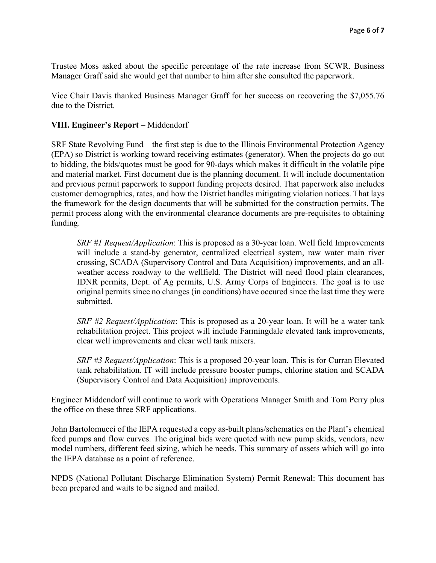Trustee Moss asked about the specific percentage of the rate increase from SCWR. Business Manager Graff said she would get that number to him after she consulted the paperwork.

Vice Chair Davis thanked Business Manager Graff for her success on recovering the \$7,055.76 due to the District.

# **VIII. Engineer's Report** – Middendorf

SRF State Revolving Fund – the first step is due to the Illinois Environmental Protection Agency (EPA) so District is working toward receiving estimates (generator). When the projects do go out to bidding, the bids/quotes must be good for 90-days which makes it difficult in the volatile pipe and material market. First document due is the planning document. It will include documentation and previous permit paperwork to support funding projects desired. That paperwork also includes customer demographics, rates, and how the District handles mitigating violation notices. That lays the framework for the design documents that will be submitted for the construction permits. The permit process along with the environmental clearance documents are pre-requisites to obtaining funding.

*SRF #1 Request/Application*: This is proposed as a 30-year loan. Well field Improvements will include a stand-by generator, centralized electrical system, raw water main river crossing, SCADA (Supervisory Control and Data Acquisition) improvements, and an allweather access roadway to the wellfield. The District will need flood plain clearances, IDNR permits, Dept. of Ag permits, U.S. Army Corps of Engineers. The goal is to use original permits since no changes (in conditions) have occured since the last time they were submitted.

*SRF #2 Request/Application*: This is proposed as a 20-year loan. It will be a water tank rehabilitation project. This project will include Farmingdale elevated tank improvements, clear well improvements and clear well tank mixers.

*SRF #3 Request/Application*: This is a proposed 20-year loan. This is for Curran Elevated tank rehabilitation. IT will include pressure booster pumps, chlorine station and SCADA (Supervisory Control and Data Acquisition) improvements.

Engineer Middendorf will continue to work with Operations Manager Smith and Tom Perry plus the office on these three SRF applications.

John Bartolomucci of the IEPA requested a copy as-built plans/schematics on the Plant's chemical feed pumps and flow curves. The original bids were quoted with new pump skids, vendors, new model numbers, different feed sizing, which he needs. This summary of assets which will go into the IEPA database as a point of reference.

NPDS (National Pollutant Discharge Elimination System) Permit Renewal: This document has been prepared and waits to be signed and mailed.